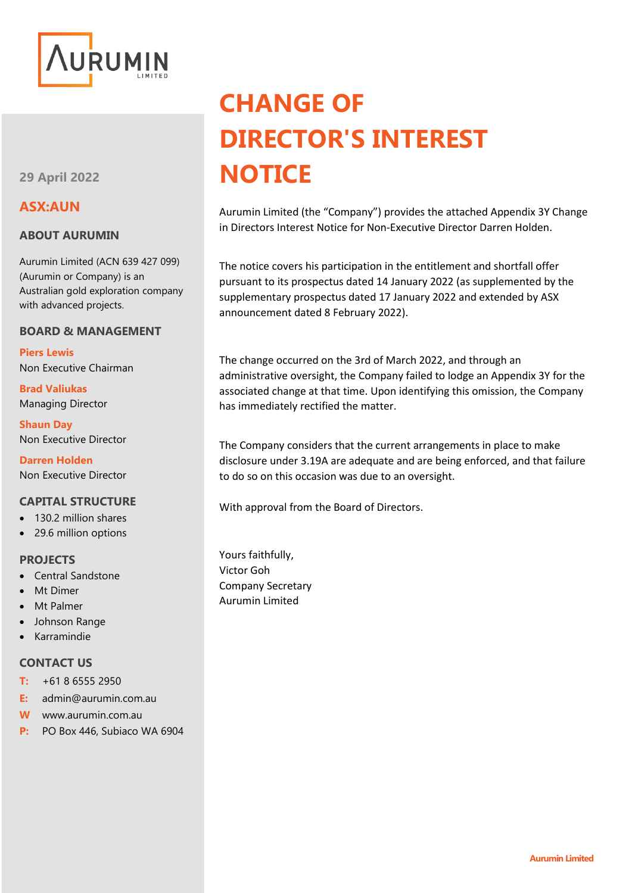

**29 April 2022**

### **ASX:AUN**

### **ABOUT AURUMIN**

Aurumin Limited (ACN 639 427 099) (Aurumin or Company) is an Australian gold exploration company with advanced projects.

### **BOARD & MANAGEMENT**

**Piers Lewis** Non Executive Chairman

**Brad Valiukas** Managing Director

**Shaun Day** Non Executive Director

**Darren Holden** Non Executive Director

### **CAPITAL STRUCTURE**

- 130.2 million shares
- 29.6 million options

### **PROJECTS**

- Central Sandstone
- Mt Dimer
- Mt Palmer
- Johnson Range
- Karramindie

### **CONTACT US**

- **T:** +61 8 6555 2950
- **E:** admin@aurumin.com.au
- **W** www.aurumin.com.au
- **P:** PO Box 446, Subiaco WA 6904

# **CHANGE OF DIRECTOR'S INTEREST NOTICE**

Aurumin Limited (the "Company") provides the attached Appendix 3Y Change in Directors Interest Notice for Non-Executive Director Darren Holden.

The notice covers his participation in the entitlement and shortfall offer pursuant to its prospectus dated 14 January 2022 (as supplemented by the supplementary prospectus dated 17 January 2022 and extended by ASX announcement dated 8 February 2022).

The change occurred on the 3rd of March 2022, and through an administrative oversight, the Company failed to lodge an Appendix 3Y for the associated change at that time. Upon identifying this omission, the Company has immediately rectified the matter.

The Company considers that the current arrangements in place to make disclosure under 3.19A are adequate and are being enforced, and that failure to do so on this occasion was due to an oversight.

With approval from the Board of Directors.

Yours faithfully, Victor Goh Company Secretary Aurumin Limited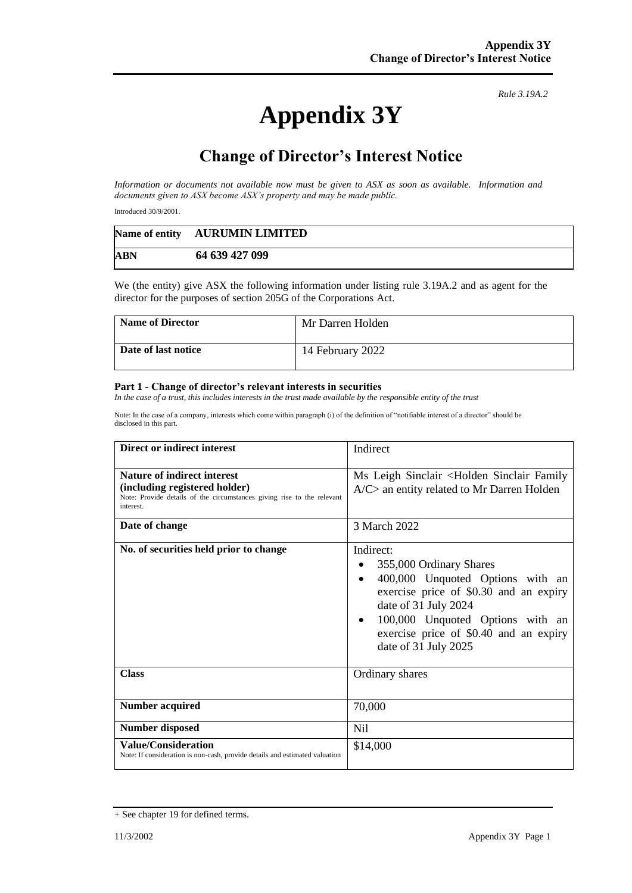## **Appendix 3Y**

*Rule 3.19A.2*

## **Change of Director's Interest Notice**

*Information or documents not available now must be given to ASX as soon as available. Information and documents given to ASX become ASX's property and may be made public.*

Introduced 30/9/2001.

|            | Name of entity AURUMIN LIMITED |
|------------|--------------------------------|
| <b>ABN</b> | 64 639 427 099                 |

We (the entity) give ASX the following information under listing rule 3.19A.2 and as agent for the director for the purposes of section 205G of the Corporations Act.

| <b>Name of Director</b> | Mr Darren Holden |
|-------------------------|------------------|
| Date of last notice     | 14 February 2022 |

#### **Part 1 - Change of director's relevant interests in securities**

*In the case of a trust, this includes interests in the trust made available by the responsible entity of the trust*

Note: In the case of a company, interests which come within paragraph (i) of the definition of "notifiable interest of a director" should be disclosed in this part.

| Direct or indirect interest                                                                                                                         | Indirect                                                                                                                                                                                                                                                      |
|-----------------------------------------------------------------------------------------------------------------------------------------------------|---------------------------------------------------------------------------------------------------------------------------------------------------------------------------------------------------------------------------------------------------------------|
| Nature of indirect interest<br>(including registered holder)<br>Note: Provide details of the circumstances giving rise to the relevant<br>interest. | Ms Leigh Sinclair <holden family<br="" sinclair=""><math>A/C</math> an entity related to Mr Darren Holden</holden>                                                                                                                                            |
| Date of change                                                                                                                                      | 3 March 2022                                                                                                                                                                                                                                                  |
| No. of securities held prior to change                                                                                                              | Indirect:<br>355,000 Ordinary Shares<br>400,000 Unquoted Options with an<br>$\bullet$<br>exercise price of \$0.30 and an expiry<br>date of 31 July 2024<br>100,000 Unquoted Options with an<br>exercise price of \$0.40 and an expiry<br>date of 31 July 2025 |
| <b>Class</b>                                                                                                                                        | Ordinary shares                                                                                                                                                                                                                                               |
| <b>Number acquired</b>                                                                                                                              | 70,000                                                                                                                                                                                                                                                        |
| <b>Number disposed</b>                                                                                                                              | Nil                                                                                                                                                                                                                                                           |
| <b>Value/Consideration</b><br>Note: If consideration is non-cash, provide details and estimated valuation                                           | \$14,000                                                                                                                                                                                                                                                      |

<sup>+</sup> See chapter 19 for defined terms.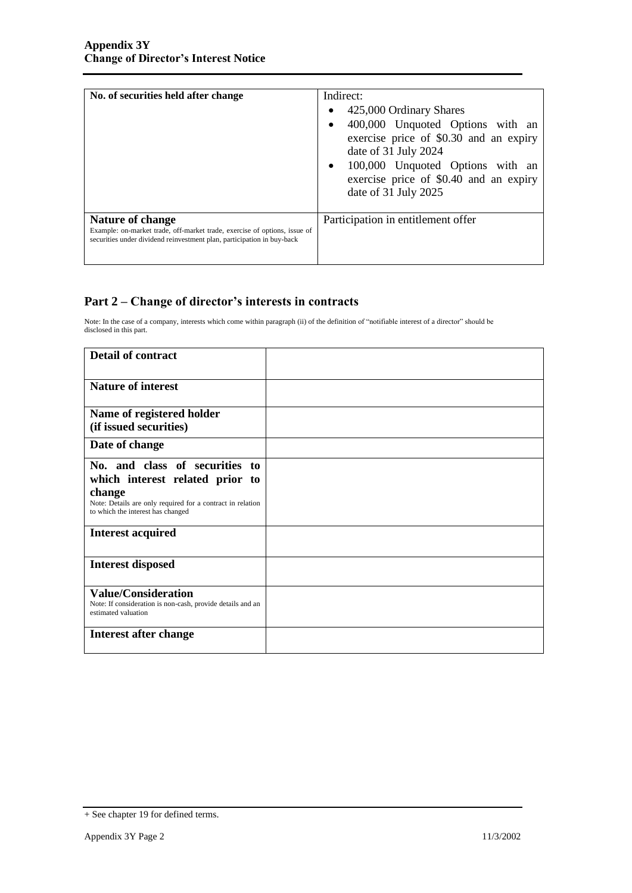| No. of securities held after change                                                                                                                                            | Indirect:<br>425,000 Ordinary Shares<br>400,000 Unquoted Options with an<br>exercise price of \$0.30 and an expiry<br>date of 31 July 2024<br>100,000 Unquoted Options with an<br>$\bullet$<br>exercise price of \$0.40 and an expiry<br>date of 31 July 2025 |
|--------------------------------------------------------------------------------------------------------------------------------------------------------------------------------|---------------------------------------------------------------------------------------------------------------------------------------------------------------------------------------------------------------------------------------------------------------|
| <b>Nature of change</b><br>Example: on-market trade, off-market trade, exercise of options, issue of<br>securities under dividend reinvestment plan, participation in buy-back | Participation in entitlement offer                                                                                                                                                                                                                            |

### **Part 2 – Change of director's interests in contracts**

Note: In the case of a company, interests which come within paragraph (ii) of the definition of "notifiable interest of a director" should be disclosed in this part.

| <b>Detail of contract</b>                                            |  |
|----------------------------------------------------------------------|--|
| <b>Nature of interest</b>                                            |  |
| Name of registered holder                                            |  |
| (if issued securities)                                               |  |
| Date of change                                                       |  |
| No. and class of securities to                                       |  |
| which interest related prior to                                      |  |
| change<br>Note: Details are only required for a contract in relation |  |
| to which the interest has changed                                    |  |
| <b>Interest acquired</b>                                             |  |
|                                                                      |  |
| <b>Interest disposed</b>                                             |  |
| <b>Value/Consideration</b>                                           |  |
| Note: If consideration is non-cash, provide details and an           |  |
| estimated valuation                                                  |  |
| Interest after change                                                |  |
|                                                                      |  |

<sup>+</sup> See chapter 19 for defined terms.